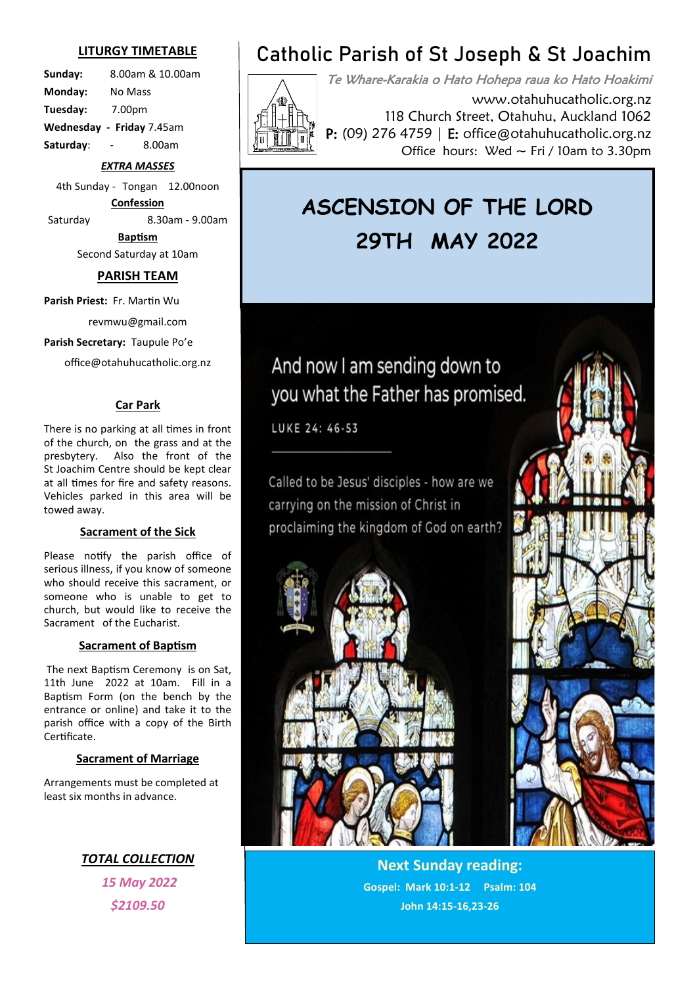### **LITURGY TIMETABLE**

**Sunday:** 8.00am & 10.00am **Monday:** No Mass **Tuesday:** 7.00pm **Wednesday - Friday** 7.45am **Saturday**: - 8.00am

### *EXTRA MASSES*

4th Sunday - Tongan 12.00noon **Confession** Saturday 8.30am - 9.00am

> **Baptism** Second Saturday at 10am

### **PARISH TEAM**

**Parish Priest:** Fr. Martin Wu

revmwu@gmail.com

**Parish Secretary:** Taupule Po'e

office@otahuhucatholic.org.nz

### **Car Park**

There is no parking at all times in front of the church, on the grass and at the presbytery. Also the front of the St Joachim Centre should be kept clear at all times for fire and safety reasons. Vehicles parked in this area will be towed away.

### **Sacrament of the Sick**

Please notify the parish office of serious illness, if you know of someone who should receive this sacrament, or someone who is unable to get to church, but would like to receive the Sacrament of the Eucharist.

### **Sacrament of Baptism**

The next Baptism Ceremony is on Sat, 11th June 2022 at 10am. Fill in a Baptism Form (on the bench by the entrance or online) and take it to the parish office with a copy of the Birth Certificate.

#### **Sacrament of Marriage**

Arrangements must be completed at least six months in advance.

> *TOTAL COLLECTION 15 May 2022 \$2109.50*

# **Catholic Parish of St Joseph & St Joachim**

Te Whare-Karakia o Hato Hohepa raua ko Hato Hoakimi www.otahuhucatholic.org.nz 118 Church Street, Otahuhu, Auckland 1062 P: (09) 276 4759 | E: office@otahuhucatholic.org.nz Office hours: Wed  $\sim$  Fri / 10am to 3.30pm

# **ASCENSION OF THE LORD 29TH MAY 2022**

# And now I am sending down to you what the Father has promised.

LUKE 24: 46-53

Called to be Jesus' disciples - how are we carrying on the mission of Christ in proclaiming the kingdom of God on earth?





**Next Sunday reading: Gospel: Mark 10:1-12 Psalm: 104 John 14:15-16,23-26**